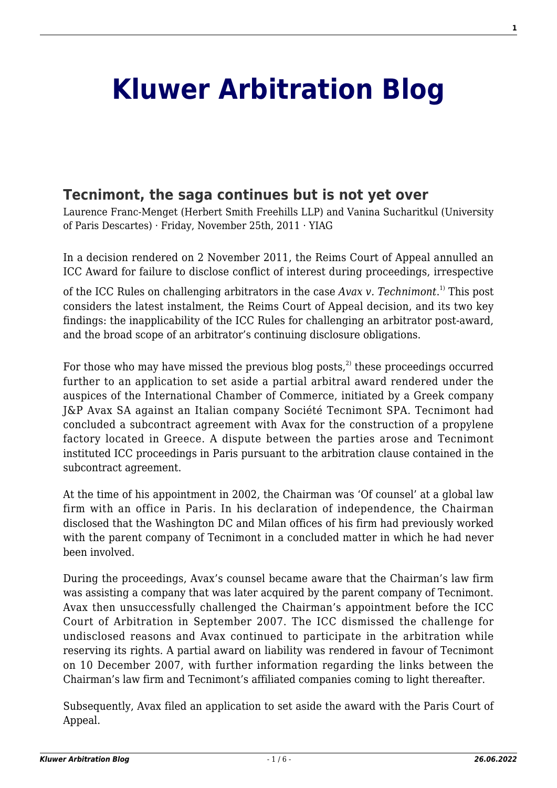# **[Kluwer Arbitration Blog](http://arbitrationblog.kluwerarbitration.com/)**

## **[Tecnimont, the saga continues but is not yet over](http://arbitrationblog.kluwerarbitration.com/2011/11/25/tecnimont-the-saga-continues-but-is-not-yet-over/)**

Laurence Franc-Menget (Herbert Smith Freehills LLP) and Vanina Sucharitkul (University of Paris Descartes) · Friday, November 25th, 2011 · YIAG

In a decision rendered on 2 November 2011, the Reims Court of Appeal annulled an ICC Award for failure to disclose conflict of interest during proceedings, irrespective

of the ICC Rules on challenging arbitrators in the case *Avax v. Technimont*. 1) This post considers the latest instalment, the Reims Court of Appeal decision, and its two key findings: the inapplicability of the ICC Rules for challenging an arbitrator post-award, and the broad scope of an arbitrator's continuing disclosure obligations.

For those who may have missed the previous blog posts.<sup>2)</sup> these proceedings occurred further to an application to set aside a partial arbitral award rendered under the auspices of the International Chamber of Commerce, initiated by a Greek company J&P Avax SA against an Italian company Société Tecnimont SPA. Tecnimont had concluded a subcontract agreement with Avax for the construction of a propylene factory located in Greece. A dispute between the parties arose and Tecnimont instituted ICC proceedings in Paris pursuant to the arbitration clause contained in the subcontract agreement.

At the time of his appointment in 2002, the Chairman was 'Of counsel' at a global law firm with an office in Paris. In his declaration of independence, the Chairman disclosed that the Washington DC and Milan offices of his firm had previously worked with the parent company of Tecnimont in a concluded matter in which he had never been involved.

During the proceedings, Avax's counsel became aware that the Chairman's law firm was assisting a company that was later acquired by the parent company of Tecnimont. Avax then unsuccessfully challenged the Chairman's appointment before the ICC Court of Arbitration in September 2007. The ICC dismissed the challenge for undisclosed reasons and Avax continued to participate in the arbitration while reserving its rights. A partial award on liability was rendered in favour of Tecnimont on 10 December 2007, with further information regarding the links between the Chairman's law firm and Tecnimont's affiliated companies coming to light thereafter.

Subsequently, Avax filed an application to set aside the award with the Paris Court of Appeal.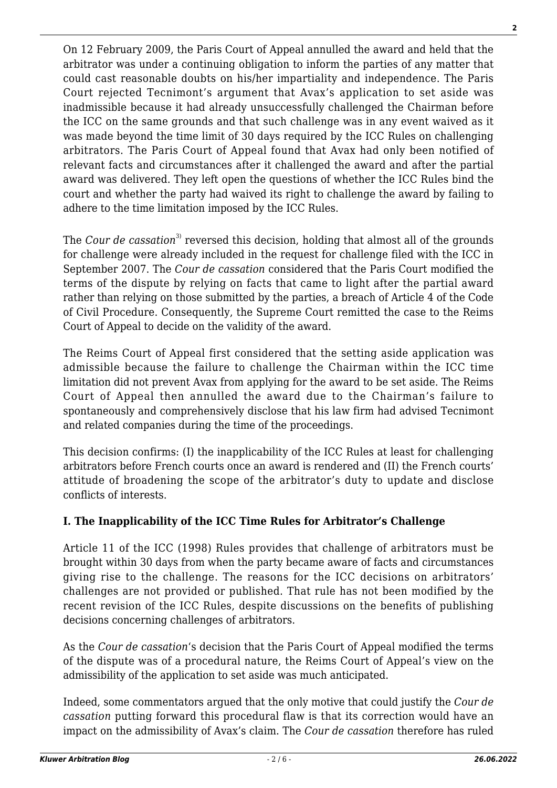On 12 February 2009, the Paris Court of Appeal annulled the award and held that the arbitrator was under a continuing obligation to inform the parties of any matter that could cast reasonable doubts on his/her impartiality and independence. The Paris Court rejected Tecnimont's argument that Avax's application to set aside was inadmissible because it had already unsuccessfully challenged the Chairman before the ICC on the same grounds and that such challenge was in any event waived as it was made beyond the time limit of 30 days required by the ICC Rules on challenging arbitrators. The Paris Court of Appeal found that Avax had only been notified of relevant facts and circumstances after it challenged the award and after the partial award was delivered. They left open the questions of whether the ICC Rules bind the court and whether the party had waived its right to challenge the award by failing to adhere to the time limitation imposed by the ICC Rules.

The *Cour de cassation*<sup>3)</sup> reversed this decision, holding that almost all of the grounds for challenge were already included in the request for challenge filed with the ICC in September 2007. The *Cour de cassation* considered that the Paris Court modified the terms of the dispute by relying on facts that came to light after the partial award rather than relying on those submitted by the parties, a breach of Article 4 of the Code of Civil Procedure. Consequently, the Supreme Court remitted the case to the Reims Court of Appeal to decide on the validity of the award.

The Reims Court of Appeal first considered that the setting aside application was admissible because the failure to challenge the Chairman within the ICC time limitation did not prevent Avax from applying for the award to be set aside. The Reims Court of Appeal then annulled the award due to the Chairman's failure to spontaneously and comprehensively disclose that his law firm had advised Tecnimont and related companies during the time of the proceedings.

This decision confirms: (I) the inapplicability of the ICC Rules at least for challenging arbitrators before French courts once an award is rendered and (II) the French courts' attitude of broadening the scope of the arbitrator's duty to update and disclose conflicts of interests.

## **I. The Inapplicability of the ICC Time Rules for Arbitrator's Challenge**

Article 11 of the ICC (1998) Rules provides that challenge of arbitrators must be brought within 30 days from when the party became aware of facts and circumstances giving rise to the challenge. The reasons for the ICC decisions on arbitrators' challenges are not provided or published. That rule has not been modified by the recent revision of the ICC Rules, despite discussions on the benefits of publishing decisions concerning challenges of arbitrators.

As the *Cour de cassation*'s decision that the Paris Court of Appeal modified the terms of the dispute was of a procedural nature, the Reims Court of Appeal's view on the admissibility of the application to set aside was much anticipated.

Indeed, some commentators argued that the only motive that could justify the *Cour de cassation* putting forward this procedural flaw is that its correction would have an impact on the admissibility of Avax's claim. The *Cour de cassation* therefore has ruled **2**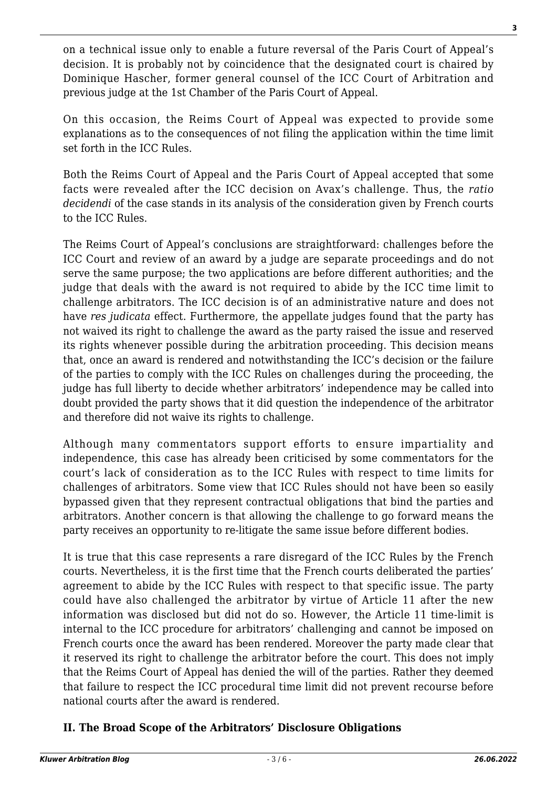on a technical issue only to enable a future reversal of the Paris Court of Appeal's decision. It is probably not by coincidence that the designated court is chaired by Dominique Hascher, former general counsel of the ICC Court of Arbitration and previous judge at the 1st Chamber of the Paris Court of Appeal.

On this occasion, the Reims Court of Appeal was expected to provide some explanations as to the consequences of not filing the application within the time limit set forth in the ICC Rules.

Both the Reims Court of Appeal and the Paris Court of Appeal accepted that some facts were revealed after the ICC decision on Avax's challenge. Thus, the *ratio decidendi* of the case stands in its analysis of the consideration given by French courts to the ICC Rules.

The Reims Court of Appeal's conclusions are straightforward: challenges before the ICC Court and review of an award by a judge are separate proceedings and do not serve the same purpose; the two applications are before different authorities; and the judge that deals with the award is not required to abide by the ICC time limit to challenge arbitrators. The ICC decision is of an administrative nature and does not have *res judicata* effect. Furthermore, the appellate judges found that the party has not waived its right to challenge the award as the party raised the issue and reserved its rights whenever possible during the arbitration proceeding. This decision means that, once an award is rendered and notwithstanding the ICC's decision or the failure of the parties to comply with the ICC Rules on challenges during the proceeding, the judge has full liberty to decide whether arbitrators' independence may be called into doubt provided the party shows that it did question the independence of the arbitrator and therefore did not waive its rights to challenge.

Although many commentators support efforts to ensure impartiality and independence, this case has already been criticised by some commentators for the court's lack of consideration as to the ICC Rules with respect to time limits for challenges of arbitrators. Some view that ICC Rules should not have been so easily bypassed given that they represent contractual obligations that bind the parties and arbitrators. Another concern is that allowing the challenge to go forward means the party receives an opportunity to re-litigate the same issue before different bodies.

It is true that this case represents a rare disregard of the ICC Rules by the French courts. Nevertheless, it is the first time that the French courts deliberated the parties' agreement to abide by the ICC Rules with respect to that specific issue. The party could have also challenged the arbitrator by virtue of Article 11 after the new information was disclosed but did not do so. However, the Article 11 time-limit is internal to the ICC procedure for arbitrators' challenging and cannot be imposed on French courts once the award has been rendered. Moreover the party made clear that it reserved its right to challenge the arbitrator before the court. This does not imply that the Reims Court of Appeal has denied the will of the parties. Rather they deemed that failure to respect the ICC procedural time limit did not prevent recourse before national courts after the award is rendered.

## **II. The Broad Scope of the Arbitrators' Disclosure Obligations**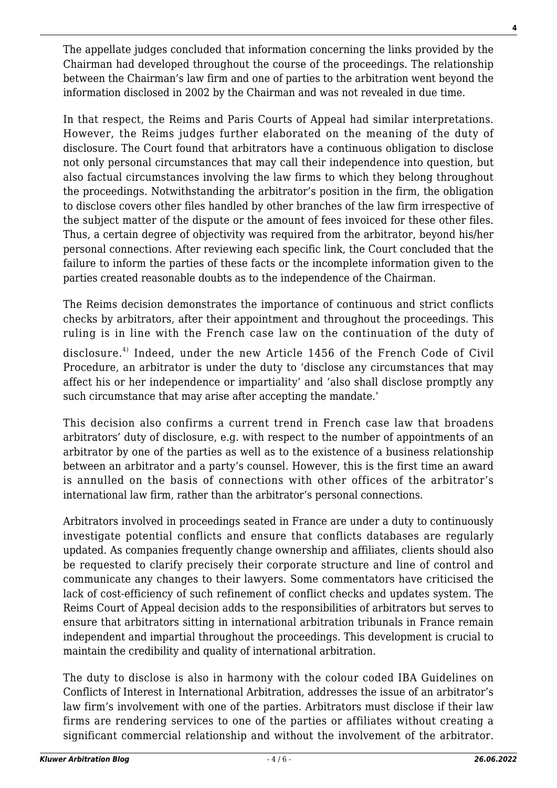The appellate judges concluded that information concerning the links provided by the Chairman had developed throughout the course of the proceedings. The relationship between the Chairman's law firm and one of parties to the arbitration went beyond the information disclosed in 2002 by the Chairman and was not revealed in due time.

In that respect, the Reims and Paris Courts of Appeal had similar interpretations. However, the Reims judges further elaborated on the meaning of the duty of disclosure. The Court found that arbitrators have a continuous obligation to disclose not only personal circumstances that may call their independence into question, but also factual circumstances involving the law firms to which they belong throughout the proceedings. Notwithstanding the arbitrator's position in the firm, the obligation to disclose covers other files handled by other branches of the law firm irrespective of the subject matter of the dispute or the amount of fees invoiced for these other files. Thus, a certain degree of objectivity was required from the arbitrator, beyond his/her personal connections. After reviewing each specific link, the Court concluded that the failure to inform the parties of these facts or the incomplete information given to the parties created reasonable doubts as to the independence of the Chairman.

The Reims decision demonstrates the importance of continuous and strict conflicts checks by arbitrators, after their appointment and throughout the proceedings. This ruling is in line with the French case law on the continuation of the duty of

disclosure.<sup>4)</sup> Indeed, under the new Article 1456 of the French Code of Civil Procedure, an arbitrator is under the duty to 'disclose any circumstances that may affect his or her independence or impartiality' and 'also shall disclose promptly any such circumstance that may arise after accepting the mandate.'

This decision also confirms a current trend in French case law that broadens arbitrators' duty of disclosure, e.g. with respect to the number of appointments of an arbitrator by one of the parties as well as to the existence of a business relationship between an arbitrator and a party's counsel. However, this is the first time an award is annulled on the basis of connections with other offices of the arbitrator's international law firm, rather than the arbitrator's personal connections.

Arbitrators involved in proceedings seated in France are under a duty to continuously investigate potential conflicts and ensure that conflicts databases are regularly updated. As companies frequently change ownership and affiliates, clients should also be requested to clarify precisely their corporate structure and line of control and communicate any changes to their lawyers. Some commentators have criticised the lack of cost-efficiency of such refinement of conflict checks and updates system. The Reims Court of Appeal decision adds to the responsibilities of arbitrators but serves to ensure that arbitrators sitting in international arbitration tribunals in France remain independent and impartial throughout the proceedings. This development is crucial to maintain the credibility and quality of international arbitration.

The duty to disclose is also in harmony with the colour coded IBA Guidelines on Conflicts of Interest in International Arbitration, addresses the issue of an arbitrator's law firm's involvement with one of the parties. Arbitrators must disclose if their law firms are rendering services to one of the parties or affiliates without creating a significant commercial relationship and without the involvement of the arbitrator.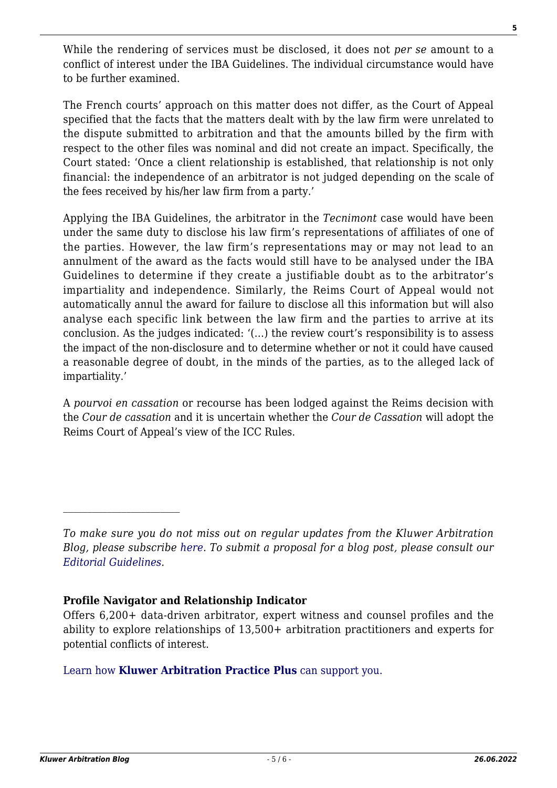While the rendering of services must be disclosed, it does not *per se* amount to a conflict of interest under the IBA Guidelines. The individual circumstance would have to be further examined.

The French courts' approach on this matter does not differ, as the Court of Appeal specified that the facts that the matters dealt with by the law firm were unrelated to the dispute submitted to arbitration and that the amounts billed by the firm with respect to the other files was nominal and did not create an impact. Specifically, the Court stated: 'Once a client relationship is established, that relationship is not only financial: the independence of an arbitrator is not judged depending on the scale of the fees received by his/her law firm from a party.'

Applying the IBA Guidelines, the arbitrator in the *Tecnimont* case would have been under the same duty to disclose his law firm's representations of affiliates of one of the parties. However, the law firm's representations may or may not lead to an annulment of the award as the facts would still have to be analysed under the IBA Guidelines to determine if they create a justifiable doubt as to the arbitrator's impartiality and independence. Similarly, the Reims Court of Appeal would not automatically annul the award for failure to disclose all this information but will also analyse each specific link between the law firm and the parties to arrive at its conclusion. As the judges indicated: '(…) the review court's responsibility is to assess the impact of the non-disclosure and to determine whether or not it could have caused a reasonable degree of doubt, in the minds of the parties, as to the alleged lack of impartiality.'

A *pourvoi en cassation* or recourse has been lodged against the Reims decision with the *Cour de cassation* and it is uncertain whether the *Cour de Cassation* will adopt the Reims Court of Appeal's view of the ICC Rules.

#### **Profile Navigator and Relationship Indicator**

#### [Learn how](https://www.wolterskluwer.com/en/solutions/kluwerarbitration/practiceplus?utm_source=arbitrationblog&utm_medium=articleCTA&utm_campaign=article-banner) **[Kluwer Arbitration Practice Plus](https://www.wolterskluwer.com/en/solutions/kluwerarbitration/practiceplus?utm_source=arbitrationblog&utm_medium=articleCTA&utm_campaign=article-banner)** [can support you.](https://www.wolterskluwer.com/en/solutions/kluwerarbitration/practiceplus?utm_source=arbitrationblog&utm_medium=articleCTA&utm_campaign=article-banner)

*To make sure you do not miss out on regular updates from the Kluwer Arbitration Blog, please subscribe [here](http://arbitrationblog.kluwerarbitration.com/newsletter/). To submit a proposal for a blog post, please consult our [Editorial Guidelines.](http://arbitrationblog.kluwerarbitration.com/editorial-guidelines/)*

Offers 6,200+ data-driven arbitrator, expert witness and counsel profiles and the ability to explore relationships of 13,500+ arbitration practitioners and experts for potential conflicts of interest.